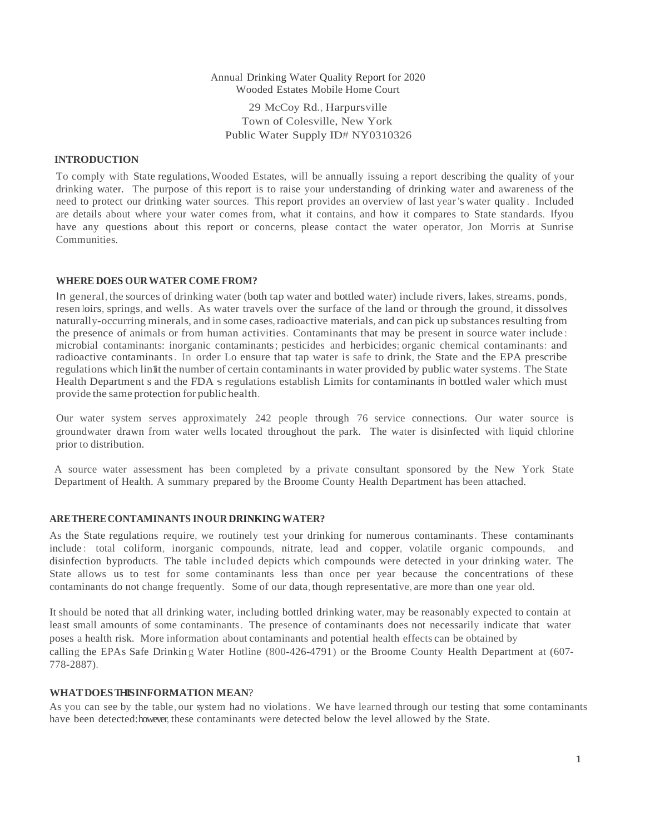# Annual Drinking Water Quality Report for 2020 Wooded Estates Mobile Home Court 29 McCoy Rd., Harpursville Town of Colesville, New York Public Water Supply ID# NY0310326

#### **INTRODUCTION**

To comply with State regulations,Wooded Estates, will be annually issuing a report describing the quality of your drinking water. The purpose of this report is to raise your understanding of drinking water and awareness of the need to protect our drinking water sources. This report provides an overview of last year 's water quality . Included are details about where your water comes from, what it contains, and how it compares to State standards. Ifyou have any questions about this report or concerns, please contact the water operator, Jon Morris at Sunrise Communities.

### **WHERE DOES OURWATER COME FROM?**

In general, the sources of drinking water (both tap water and bottled water) include rivers, lakes, streams, ponds, resen loirs, springs, and wells. As water travels over the surface of the land or through the ground, it dissolves naturally-occurring minerals, and in some cases, radioactive materials, and can pick up substances resulting from the presence of animals or from human activities. Contaminants that may be present in source water include : microbial contaminants: inorganic contaminants; pesticides and herbicides; organic chemical contaminants: and radioactive contaminants. In order Lo ensure that tap water is safe to drink, the State and the EPA prescribe regulations which lin1it the number of certain contaminants in water provided by public water systems. The State Health Department s and the FDA  $\boldsymbol{s}$  regulations establish Limits for contaminants in bottled waler which must provide the same protection for public health.

Our water system serves approximately 242 people through 76 service connections. Our water source is groundwater drawn from water wells located throughout the park. The water is disinfected with liquid chlorine prior to distribution.

A source water assessment has been completed by a private consultant sponsored by the New York State Department of Health. A summary prepared by the Broome County Health Department has been attached.

#### **ARETHERECONTAMINANTS INOUR DRINKINGWATER?**

As the State regulations require, we routinely test your drinking for numerous contaminants. These contaminants include : total coliform, inorganic compounds, nitrate, lead and copper, volatile organic compounds, and disinfection byproducts. The table included depicts which compounds were detected in your drinking water. The State allows us to test for some contaminants less than once per year because the concentrations of these contaminants do not change frequently. Some of our data, though representative, are more than one year old.

It should be noted that all drinking water, including bottled drinking water, may be reasonably expected to contain at least small amounts of some contaminants. The presence of contaminants does not necessarily indicate that water poses a health risk. More information about contaminants and potential health effects can be obtained by calling the EPAs Safe Drinking Water Hotline (800-426-4791) or the Broome County Health Department at (607-778-2887).

#### **WHATDOESTHIS INFORMATION MEAN**?

As you can see by the table, our system had no violations. We have learned through our testing that some contaminants have been detected: however, these contaminants were detected below the level allowed by the State.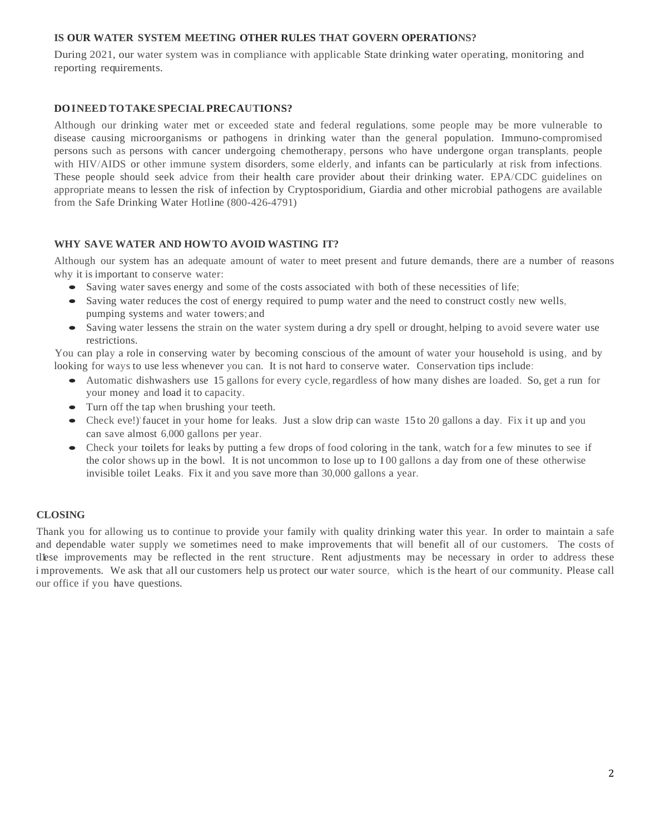# **IS OUR WATER SYSTEM MEETING OTHER RULES THAT GOVERN OPERATIONS?**

During 2021, our water system was in compliance with applicable State drinking water operating, monitoring and reporting requirements.

### **DOINEED TOTAKESPECIALPRECAUTIONS?**

Although our drinking water met or exceeded state and federal regulations, some people may be more vulnerable to disease causing microorganisms or pathogens in drinking water than the general population. Immuno-compromised persons such as persons with cancer undergoing chemotherapy, persons who have undergone organ transplants, people with HIV/AIDS or other immune system disorders, some elderly, and infants can be particularly at risk from infections. These people should seek advice from their health care provider about their drinking water. EPA/CDC guidelines on appropriate means to lessen the risk of infection by Cryptosporidium, Giardia and other microbial pathogens are available from the Safe Drinking Water Hotline (800-426-4791)

## **WHY SAVE WATER AND HOWTO AVOID WASTING IT?**

Although our system has an adequate amount of water to meet present and future demands, there are a number of reasons why it is important to conserve water:

- Saving water saves energy and some of the costs associated with both of these necessities of life;
- Saving water reduces the cost of energy required to pump water and the need to construct costly new wells, pumping systems and water towers; and
- Saving water lessens the strain on the water system during a dry spell or drought, helping to avoid severe water use restrictions.

You can play a role in conserving water by becoming conscious of the amount of water your household is using, and by looking for ways to use less whenever you can. It is not hard to conserve water. Conservation tips include:

- Automatic dishwashers use 15 gallons for every cycle, regardless of how many dishes are loaded. So, get a run for your money and load it to capacity.
- Turn off the tap when brushing your teeth.
- Check eve!)'faucet in your home for leaks. Just a slow drip can waste 15 to 20 gallons a day. Fix it up and you can save almost 6,000 gallons per year.
- Check your toilets for leaks by putting a few drops of food coloring in the tank, watch for a few minutes to see if the color shows up in the bowl. It is not uncommon to lose up to I 00 gallons a day from one of these otherwise invisible toilet Leaks. Fix it and you save more than 30,000 gallons a year.

### **CLOSING**

Thank you for allowing us to continue to provide your family with quality drinking water this year. In order to maintain a safe and dependable water supply we sometimes need to make improvements that will benefit all of our customers. The costs of tlese improvements may be reflected in the rent structure. Rent adjustments may be necessary in order to address these i mprovements. We ask that all our customers help us protect our water source, which is the heart of our community. Please call our office if you have questions.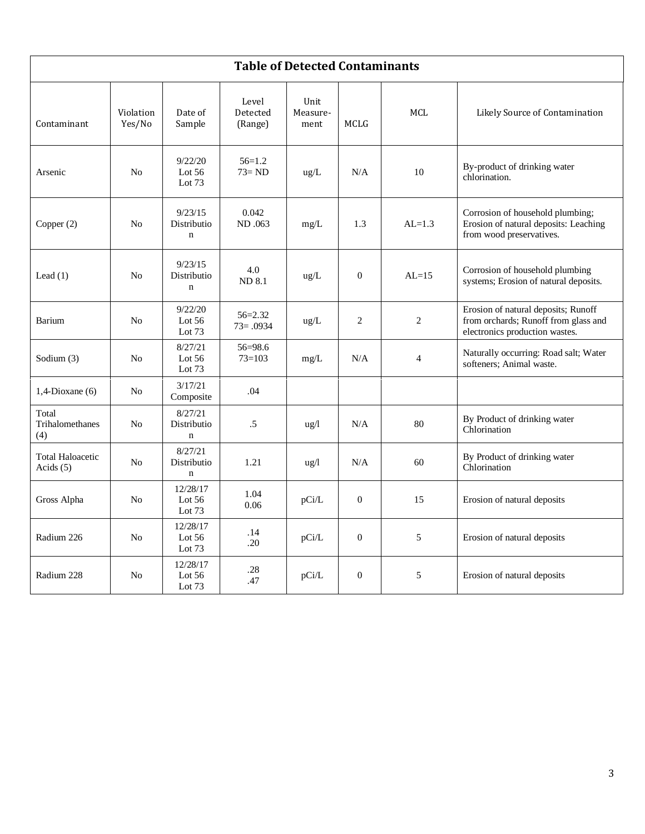| <b>Table of Detected Contaminants</b>  |                     |                                       |                              |                          |                  |                |                                                                                                               |
|----------------------------------------|---------------------|---------------------------------------|------------------------------|--------------------------|------------------|----------------|---------------------------------------------------------------------------------------------------------------|
| Contaminant                            | Violation<br>Yes/No | Date of<br>Sample                     | Level<br>Detected<br>(Range) | Unit<br>Measure-<br>ment | <b>MCLG</b>      | <b>MCL</b>     | Likely Source of Contamination                                                                                |
| Arsenic                                | N <sub>0</sub>      | 9/22/20<br>Lot $56$<br>Lot $73$       | $56=1.2$<br>$73 = ND$        | $\text{ug/L}$            | N/A              | 10             | By-product of drinking water<br>chlorination.                                                                 |
| Copper (2)                             | N <sub>0</sub>      | 9/23/15<br>Distributio<br>$\mathbf n$ | 0.042<br>ND .063             | mg/L                     | 1.3              | $AL=1.3$       | Corrosion of household plumbing;<br>Erosion of natural deposits: Leaching<br>from wood preservatives.         |
| Lead $(1)$                             | N <sub>o</sub>      | 9/23/15<br>Distributio<br>$\mathbf n$ | 4.0<br><b>ND 8.1</b>         | ug/L                     | $\theta$         | $AI = 15$      | Corrosion of household plumbing<br>systems; Erosion of natural deposits.                                      |
| <b>Barium</b>                          | No                  | 9/22/20<br>Lot 56<br>Lot $73$         | $56 = 2.32$<br>$73 = .0934$  | $\text{ug/L}$            | $\overline{2}$   | $\overline{c}$ | Erosion of natural deposits; Runoff<br>from orchards; Runoff from glass and<br>electronics production wastes. |
| Sodium (3)                             | N <sub>o</sub>      | 8/27/21<br>Lot $56$<br>Lot $73$       | 56=98.6<br>$73 = 103$        | mg/L                     | N/A              | $\overline{4}$ | Naturally occurring: Road salt; Water<br>softeners; Animal waste.                                             |
| $1,4$ -Dioxane (6)                     | N <sub>o</sub>      | 3/17/21<br>Composite                  | .04                          |                          |                  |                |                                                                                                               |
| Total<br>Trihalomethanes<br>(4)        | N <sub>o</sub>      | 8/27/21<br>Distributio<br>$\mathbf n$ | .5                           | ug/l                     | N/A              | 80             | By Product of drinking water<br>Chlorination                                                                  |
| <b>Total Haloacetic</b><br>Acids $(5)$ | N <sub>0</sub>      | 8/27/21<br>Distributio<br>$\mathbf n$ | 1.21                         | $\frac{u g}{l}$          | N/A              | 60             | By Product of drinking water<br>Chlorination                                                                  |
| Gross Alpha                            | No                  | 12/28/17<br>Lot $56$<br>Lot $73$      | 1.04<br>0.06                 | pCi/L                    | $\overline{0}$   | 15             | Erosion of natural deposits                                                                                   |
| Radium 226                             | No                  | 12/28/17<br>Lot 56<br>Lot $73$        | .14<br>.20                   | pCi/L                    | $\overline{0}$   | 5              | Erosion of natural deposits                                                                                   |
| Radium 228                             | No                  | 12/28/17<br>Lot 56<br>Lot $73$        | .28<br>.47                   | pCi/L                    | $\boldsymbol{0}$ | 5              | Erosion of natural deposits                                                                                   |